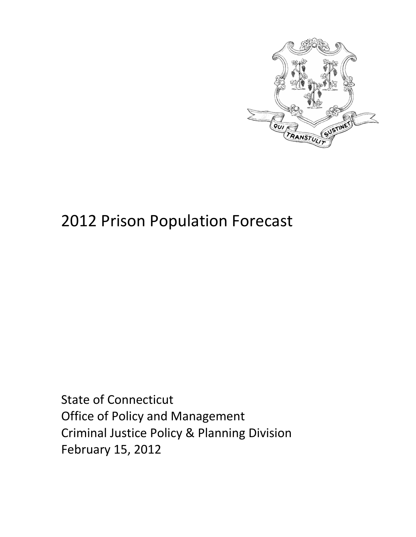

# 2012 Prison Population Forecast

State of Connecticut Office of Policy and Management Criminal Justice Policy & Planning Division February 15, 2012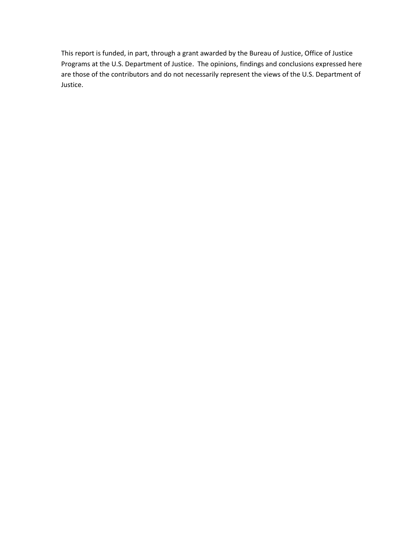This report is funded, in part, through a grant awarded by the Bureau of Justice, Office of Justice Programs at the U.S. Department of Justice. The opinions, findings and conclusions expressed here are those of the contributors and do not necessarily represent the views of the U.S. Department of Justice.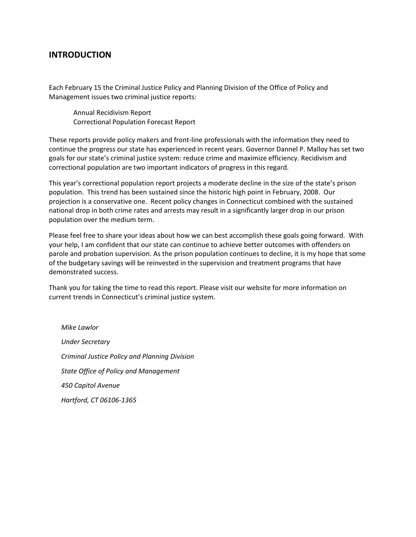#### **INTRODUCTION**

Each February 15 the Criminal Justice Policy and Planning Division of the Office of Policy and Management issues two criminal justice reports:

Annual Recidivism Report Correctional Population Forecast Report

These reports provide policy makers and front-line professionals with the information they need to continue the progress our state has experienced in recent years. Governor Dannel P. Malloy has set two goals for our state's criminal justice system: reduce crime and maximize efficiency. Recidivism and correctional population are two important indicators of progress in this regard.

This year's correctional population report projects a moderate decline in the size of the state's prison population. This trend has been sustained since the historic high point in February, 2008. Our projection is a conservative one. Recent policy changes in Connecticut combined with the sustained national drop in both crime rates and arrests may result in a significantly larger drop in our prison population over the medium term.

Please feel free to share your ideas about how we can best accomplish these goals going forward. With your help, I am confident that our state can continue to achieve better outcomes with offenders on parole and probation supervision. As the prison population continues to decline, it is my hope that some of the budgetary savings will be reinvested in the supervision and treatment programs that have demonstrated success.

Thank you for taking the time to read this report. Please visit our website for more information on current trends in Connecticut's criminal justice system.

*Mike Lawlor Under Secretary Criminal Justice Policy and Planning Division State Office of Policy and Management 450 Capitol Avenue Hartford, CT 06106-1365*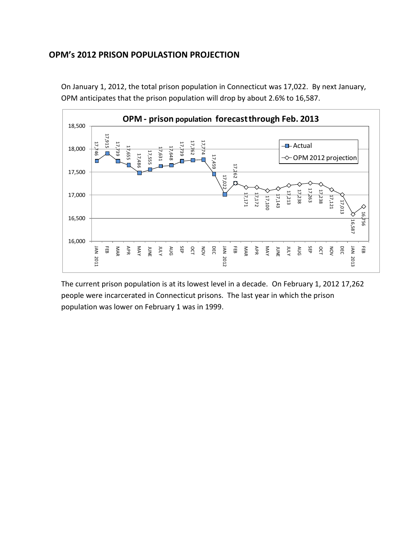### **OPM's 2012 PRISON POPULASTION PROJECTION**



On January 1, 2012, the total prison population in Connecticut was 17,022. By next January, OPM anticipates that the prison population will drop by about 2.6% to 16,587.

The current prison population is at its lowest level in a decade. On February 1, 2012 17,262 people were incarcerated in Connecticut prisons. The last year in which the prison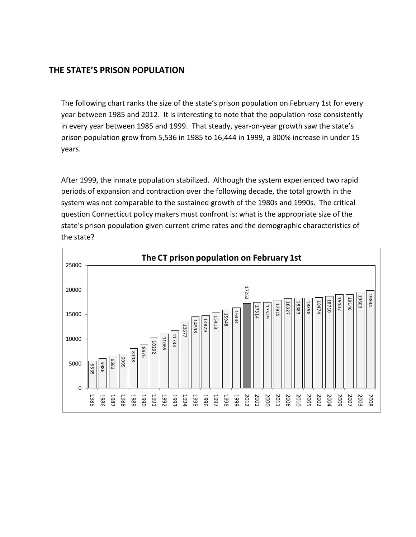## **THE STATE'S PRISON POPULATION**

The following chart ranks the size of the state's prison population on February 1st for every year between 1985 and 2012. It is interesting to note that the population rose consistently in every year between 1985 and 1999. That steady, year-on-year growth saw the state's prison population grow from 5,536 in 1985 to 16,444 in 1999, a 300% increase in under 15 years.

After 1999, the inmate population stabilized. Although the system experienced two rapid periods of expansion and contraction over the following decade, the total growth in the system was not comparable to the sustained growth of the 1980s and 1990s. The critical question Connecticut policy makers must confront is: what is the appropriate size of the state's prison population given current crime rates and the demographic characteristics of the state?